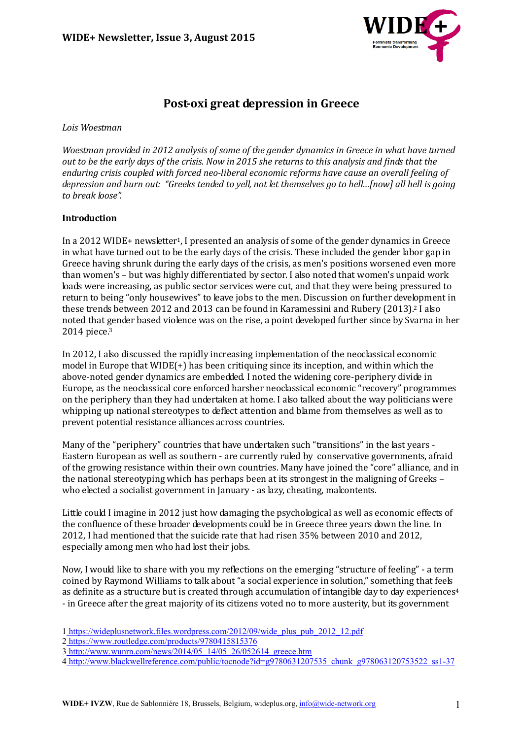

# **Post-oxi great depression in Greece**

*Lois Woestman*

*Woestman provided in 2012 analysis of some of the gender dynamics in Greece in what have turned out to be the early days of the crisis. Now in 2015 she returns to this analysis and finds that the enduring crisis coupled with forced neo-liberal economic reforms have cause an overall feeling of depression and burn out: "Greeks tended to yell, not let themselves go to hell…[now] all hell is going to break loose".* 

### **Introduction**

In a 2012 WIDE+ newsletter1, I presented an analysis of some of the gender dynamics in Greece in what have turned out to be the early days of the crisis. These included the gender labor gap in Greece having shrunk during the early days of the crisis, as men's positions worsened even more than women's – but was highly differentiated by sector. I also noted that women's unpaid work loads were increasing, as public sector services were cut, and that they were being pressured to return to being "only housewives" to leave jobs to the men. Discussion on further development in these trends between 2012 and 2013 can be found in Karamessini and Rubery (2013).2 I also noted that gender based violence was on the rise, a point developed further since by Svarna in her 2014 piece.3

In 2012, I also discussed the rapidly increasing implementation of the neoclassical economic model in Europe that WIDE(+) has been critiquing since its inception, and within which the above-noted gender dynamics are embedded. I noted the widening core-periphery divide in Europe, as the neoclassical core enforced harsher neoclassical economic "recovery" programmes on the periphery than they had undertaken at home. I also talked about the way politicians were whipping up national stereotypes to deflect attention and blame from themselves as well as to prevent potential resistance alliances across countries.

Many of the "periphery" countries that have undertaken such "transitions" in the last years -Eastern European as well as southern - are currently ruled by conservative governments, afraid of the growing resistance within their own countries. Many have joined the "core" alliance, and in the national stereotyping which has perhaps been at its strongest in the maligning of Greeks – who elected a socialist government in January - as lazy, cheating, malcontents.

Little could I imagine in 2012 just how damaging the psychological as well as economic effects of the confluence of these broader developments could be in Greece three years down the line. In 2012, I had mentioned that the suicide rate that had risen 35% between 2010 and 2012, especially among men who had lost their jobs.

Now, I would like to share with you my reflections on the emerging "structure of feeling" - a term coined by Raymond Williams to talk about "a social experience in solution," something that feels as definite as a structure but is created through accumulation of intangible day to day experiences<sup>4</sup> - in Greece after the great majority of its citizens voted no to more austerity, but its government

 $\overline{a}$ 1 https://wideplusnetwork.files.wordpress.com/2012/09/wide\_plus\_pub\_2012\_12.pdf

<sup>2</sup> https://www.routledge.com/products/9780415815376

<sup>3</sup> http://www.wunrn.com/news/2014/05\_14/05\_26/052614\_greece.htm

<sup>4</sup> http://www.blackwellreference.com/public/tocnode?id=g9780631207535\_chunk\_g978063120753522\_ss1-37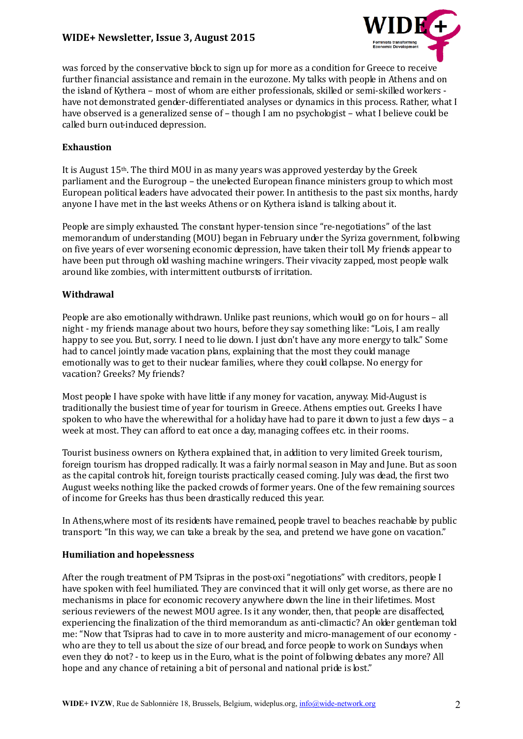## **WIDE+ Newsletter, Issue 3, August 2015**



was forced by the conservative block to sign up for more as a condition for Greece to receive further financial assistance and remain in the eurozone. My talks with people in Athens and on the island of Kythera – most of whom are either professionals, skilled or semi-skilled workers have not demonstrated gender-differentiated analyses or dynamics in this process. Rather, what I have observed is a generalized sense of – though I am no psychologist – what I believe could be called burn out-induced depression.

#### **Exhaustion**

It is August 15th. The third MOU in as many years was approved yesterday by the Greek parliament and the Eurogroup – the unelected European finance ministers group to which most European political leaders have advocated their power. In antithesis to the past six months, hardy anyone I have met in the last weeks Athens or on Kythera island is talking about it.

People are simply exhausted. The constant hyper-tension since "re-negotiations" of the last memorandum of understanding (MOU) began in February under the Syriza government, following on five years of ever worsening economic depression, have taken their toll. My friends appear to have been put through old washing machine wringers. Their vivacity zapped, most people walk around like zombies, with intermittent outbursts of irritation.

#### **Withdrawal**

People are also emotionally withdrawn. Unlike past reunions, which would go on for hours – all night - my friends manage about two hours, before they say something like: "Lois, I am really happy to see you. But, sorry. I need to lie down. I just don't have any more energy to talk." Some had to cancel jointly made vacation plans, explaining that the most they could manage emotionally was to get to their nuclear families, where they could collapse. No energy for vacation? Greeks? My friends?

Most people I have spoke with have little if any money for vacation, anyway. Mid-August is traditionally the busiest time of year for tourism in Greece. Athens empties out. Greeks I have spoken to who have the wherewithal for a holiday have had to pare it down to just a few days – a week at most. They can afford to eat once a day, managing coffees etc. in their rooms.

Tourist business owners on Kythera explained that, in addition to very limited Greek tourism, foreign tourism has dropped radically. It was a fairly normal season in May and June. But as soon as the capital controls hit, foreign tourists practically ceased coming. July was dead, the first two August weeks nothing like the packed crowds of former years. One of the few remaining sources of income for Greeks has thus been drastically reduced this year.

In Athens, where most of its residents have remained, people travel to beaches reachable by public transport: "In this way, we can take a break by the sea, and pretend we have gone on vacation."

#### **Humiliation and hopelessness**

After the rough treatment of PM Tsipras in the post-oxi "negotiations" with creditors, people I have spoken with feel humiliated. They are convinced that it will only get worse, as there are no mechanisms in place for economic recovery anywhere down the line in their lifetimes. Most serious reviewers of the newest MOU agree. Is it any wonder, then, that people are disaffected, experiencing the finalization of the third memorandum as anti-climactic? An older gentleman told me: "Now that Tsipras had to cave in to more austerity and micro-management of our economy who are they to tell us about the size of our bread, and force people to work on Sundays when even they do not? - to keep us in the Euro, what is the point of following debates any more? All hope and any chance of retaining a bit of personal and national pride is lost."